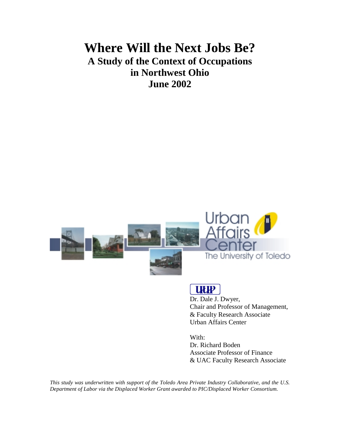# **Where Will the Next Jobs Be? A Study of the Context of Occupations in Northwest Ohio June 2002**





# **UUP**

Dr. Dale J. Dwyer, Chair and Professor of Management, & Faculty Research Associate Urban Affairs Center

With: Dr. Richard Boden Associate Professor of Finance & UAC Faculty Research Associate

*This study was underwritten with support of the Toledo Area Private Industry Collaborative, and the U.S. Department of Labor via the Displaced Worker Grant awarded to PIC/Displaced Worker Consortium.*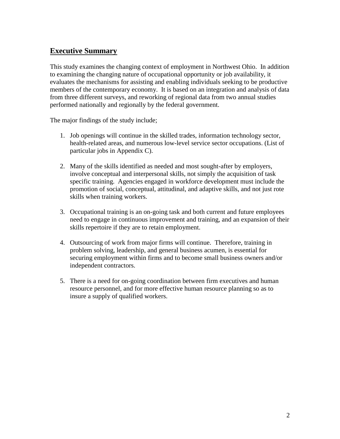## **Executive Summary**

This study examines the changing context of employment in Northwest Ohio. In addition to examining the changing nature of occupational opportunity or job availability, it evaluates the mechanisms for assisting and enabling individuals seeking to be productive members of the contemporary economy. It is based on an integration and analysis of data from three different surveys, and reworking of regional data from two annual studies performed nationally and regionally by the federal government.

The major findings of the study include;

- 1. Job openings will continue in the skilled trades, information technology sector, health-related areas, and numerous low-level service sector occupations. (List of particular jobs in Appendix C).
- 2. Many of the skills identified as needed and most sought-after by employers, involve conceptual and interpersonal skills, not simply the acquisition of task specific training. Agencies engaged in workforce development must include the promotion of social, conceptual, attitudinal, and adaptive skills, and not just rote skills when training workers.
- 3. Occupational training is an on-going task and both current and future employees need to engage in continuous improvement and training, and an expansion of their skills repertoire if they are to retain employment.
- 4. Outsourcing of work from major firms will continue. Therefore, training in problem solving, leadership, and general business acumen, is essential for securing employment within firms and to become small business owners and/or independent contractors.
- 5. There is a need for on-going coordination between firm executives and human resource personnel, and for more effective human resource planning so as to insure a supply of qualified workers.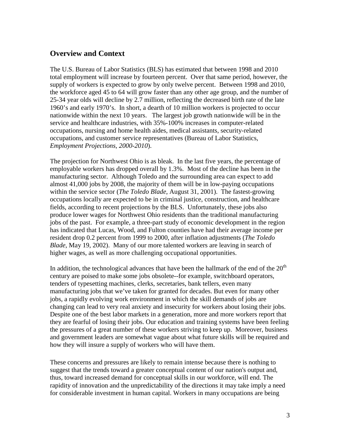## **Overview and Context**

The U.S. Bureau of Labor Statistics (BLS) has estimated that between 1998 and 2010 total employment will increase by fourteen percent. Over that same period, however, the supply of workers is expected to grow by only twelve percent. Between 1998 and 2010, the workforce aged 45 to 64 will grow faster than any other age group, and the number of 25-34 year olds will decline by 2.7 million, reflecting the decreased birth rate of the late 1960's and early 1970's. In short, a dearth of 10 million workers is projected to occur nationwide within the next 10 years. The largest job growth nationwide will be in the service and healthcare industries, with 35%-100% increases in computer-related occupations, nursing and home health aides, medical assistants, security-related occupations, and customer service representatives (Bureau of Labor Statistics, *Employment Projections, 2000-2010*).

The projection for Northwest Ohio is as bleak. In the last five years, the percentage of employable workers has dropped overall by 1.3%. Most of the decline has been in the manufacturing sector. Although Toledo and the surrounding area can expect to add almost 41,000 jobs by 2008, the majority of them will be in low-paying occupations within the service sector (*The Toledo Blade*, August 31, 2001). The fastest-growing occupations locally are expected to be in criminal justice, construction, and healthcare fields, according to recent projections by the BLS. Unfortunately, these jobs also produce lower wages for Northwest Ohio residents than the traditional manufacturing jobs of the past. For example, a three-part study of economic development in the region has indicated that Lucas, Wood, and Fulton counties have had their average income per resident drop 0.2 percent from 1999 to 2000, after inflation adjustments (*The Toledo Blade*, May 19, 2002). Many of our more talented workers are leaving in search of higher wages, as well as more challenging occupational opportunities.

In addition, the technological advances that have been the hallmark of the end of the  $20<sup>th</sup>$ century are poised to make some jobs obsolete--for example, switchboard operators, tenders of typesetting machines, clerks, secretaries, bank tellers, even many manufacturing jobs that we've taken for granted for decades. But even for many other jobs, a rapidly evolving work environment in which the skill demands of jobs are changing can lead to very real anxiety and insecurity for workers about losing their jobs. Despite one of the best labor markets in a generation, more and more workers report that they are fearful of losing their jobs. Our education and training systems have been feeling the pressures of a great number of these workers striving to keep up. Moreover, business and government leaders are somewhat vague about what future skills will be required and how they will insure a supply of workers who will have them.

These concerns and pressures are likely to remain intense because there is nothing to suggest that the trends toward a greater conceptual content of our nation's output and, thus, toward increased demand for conceptual skills in our workforce, will end. The rapidity of innovation and the unpredictability of the directions it may take imply a need for considerable investment in human capital. Workers in many occupations are being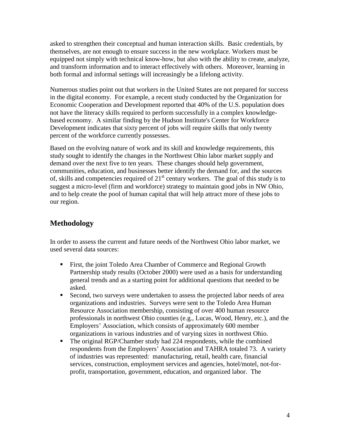asked to strengthen their conceptual and human interaction skills. Basic credentials, by themselves, are not enough to ensure success in the new workplace. Workers must be equipped not simply with technical know-how, but also with the ability to create, analyze, and transform information and to interact effectively with others. Moreover, learning in both formal and informal settings will increasingly be a lifelong activity.

Numerous studies point out that workers in the United States are not prepared for success in the digital economy. For example, a recent study conducted by the Organization for Economic Cooperation and Development reported that 40% of the U.S. population does not have the literacy skills required to perform successfully in a complex knowledgebased economy. A similar finding by the Hudson Institute's Center for Workforce Development indicates that sixty percent of jobs will require skills that only twenty percent of the workforce currently possesses.

Based on the evolving nature of work and its skill and knowledge requirements, this study sought to identify the changes in the Northwest Ohio labor market supply and demand over the next five to ten years. These changes should help government, communities, education, and businesses better identify the demand for, and the sources of, skills and competencies required of  $21<sup>st</sup>$  century workers. The goal of this study is to suggest a micro-level (firm and workforce) strategy to maintain good jobs in NW Ohio, and to help create the pool of human capital that will help attract more of these jobs to our region.

## **Methodology**

In order to assess the current and future needs of the Northwest Ohio labor market, we used several data sources:

- ! First, the joint Toledo Area Chamber of Commerce and Regional Growth Partnership study results (October 2000) were used as a basis for understanding general trends and as a starting point for additional questions that needed to be asked.
- ! Second, two surveys were undertaken to assess the projected labor needs of area organizations and industries. Surveys were sent to the Toledo Area Human Resource Association membership, consisting of over 400 human resource professionals in northwest Ohio counties (e.g., Lucas, Wood, Henry, etc.), and the Employers' Association, which consists of approximately 600 member organizations in various industries and of varying sizes in northwest Ohio.
- ! The original RGP/Chamber study had 224 respondents, while the combined respondents from the Employers' Association and TAHRA totaled 73. A variety of industries was represented: manufacturing, retail, health care, financial services, construction, employment services and agencies, hotel/motel, not-forprofit, transportation, government, education, and organized labor. The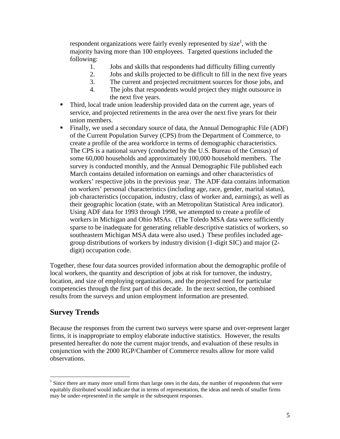respondent organizations were fairly evenly represented by size<sup>1</sup>, with the majority having more than 100 employees. Targeted questions included the following:

- 1. Jobs and skills that respondents had difficulty filling currently
- 2. Jobs and skills projected to be difficult to fill in the next five years
- 3. The current and projected recruitment sources for those jobs, and
- 4. The jobs that respondents would project they might outsource in the next five years.
- ! Third, local trade union leadership provided data on the current age, years of service, and projected retirements in the area over the next five years for their union members.
- ! Finally, we used a secondary source of data, the Annual Demographic File (ADF) of the Current Population Survey (CPS) from the Department of Commerce, to create a profile of the area workforce in terms of demographic characteristics. The CPS is a national survey (conducted by the U.S. Bureau of the Census) of some 60,000 households and approximately 100,000 household members. The survey is conducted monthly, and the Annual Demographic File published each March contains detailed information on earnings and other characteristics of workers' respective jobs in the previous year. The ADF data contains information on workers' personal characteristics (including age, race, gender, marital status), job characteristics (occupation, industry, class of worker and, earnings), as well as their geographic location (state, with an Metropolitan Statistical Area indicator). Using ADF data for 1993 through 1998, we attempted to create a profile of workers in Michigan and Ohio MSAs. (The Toledo MSA data were sufficiently sparse to be inadequate for generating reliable descriptive statistics of workers, so southeastern Michigan MSA data were also used.) These profiles included agegroup distributions of workers by industry division (1-digit SIC) and major (2 digit) occupation code.

Together, these four data sources provided information about the demographic profile of local workers, the quantity and description of jobs at risk for turnover, the industry, location, and size of employing organizations, and the projected need for particular competencies through the first part of this decade. In the next section, the combined results from the surveys and union employment information are presented.

## **Survey Trends**

Because the responses from the current two surveys were sparse and over-represent larger firms, it is inappropriate to employ elaborate inductive statistics. However, the results presented hereafter do note the current major trends, and evaluation of these results in conjunction with the 2000 RGP/Chamber of Commerce results allow for more valid observations.

<sup>&</sup>lt;sup>1</sup> Since there are many more small firms than large ones in the data, the number of respondents that were equitably distributed would indicate that in terms of representation, the ideas and needs of smaller firms may be under-represented in the sample in the subsequent responses.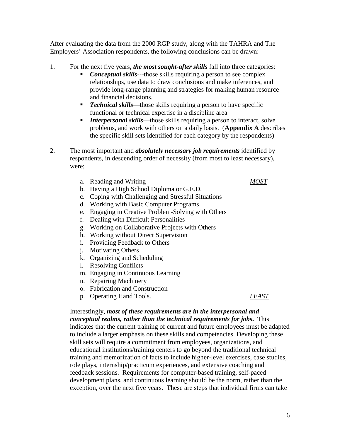6

After evaluating the data from the 2000 RGP study, along with the TAHRA and The Employers' Association respondents, the following conclusions can be drawn:

- 1. For the next five years, *the most sought-after skills* fall into three categories:
	- **Conceptual skills**---those skills requiring a person to see complex relationships, use data to draw conclusions and make inferences, and provide long-range planning and strategies for making human resource and financial decisions.
	- **•** *Technical skills***—those skills requiring a person to have specific** functional or technical expertise in a discipline area
	- *Interpersonal skills*—those skills requiring a person to interact, solve problems, and work with others on a daily basis. (**Appendix A** describes the specific skill sets identified for each category by the respondents)
- 2. The most important and *absolutely necessary job requirements* identified by respondents, in descending order of necessity (from most to least necessary), were;
	- a. Reading and Writing *MOST*
	- b. Having a High School Diploma or G.E.D.
	- c. Coping with Challenging and Stressful Situations
	- d. Working with Basic Computer Programs
	- e. Engaging in Creative Problem-Solving with Others
	- f. Dealing with Difficult Personalities
	- g. Working on Collaborative Projects with Others
	- h. Working without Direct Supervision
	- i. Providing Feedback to Others
	- j. Motivating Others
	- k. Organizing and Scheduling
	- l. Resolving Conflicts
	- m. Engaging in Continuous Learning
	- n. Repairing Machinery
	- o. Fabrication and Construction
	- p. Operating Hand Tools. *LEAST*

#### Interestingly, *most of these requirements are in the interpersonal and conceptual realms, rather than the technical requirements for jobs***.** This indicates that the current training of current and future employees must be adapted to include a larger emphasis on these skills and competencies. Developing these skill sets will require a commitment from employees, organizations, and educational institutions/training centers to go beyond the traditional technical training and memorization of facts to include higher-level exercises, case studies, role plays, internship/practicum experiences, and extensive coaching and feedback sessions. Requirements for computer-based training, self-paced development plans, and continuous learning should be the norm, rather than the exception, over the next five years. These are steps that individual firms can take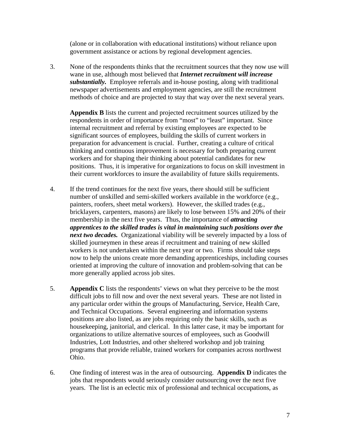(alone or in collaboration with educational institutions) without reliance upon government assistance or actions by regional development agencies.

3. None of the respondents thinks that the recruitment sources that they now use will wane in use, although most believed that *Internet recruitment will increase substantially.* Employee referrals and in-house posting, along with traditional newspaper advertisements and employment agencies, are still the recruitment methods of choice and are projected to stay that way over the next several years.

**Appendix B** lists the current and projected recruitment sources utilized by the respondents in order of importance from "most" to "least" important. Since internal recruitment and referral by existing employees are expected to be significant sources of employees, building the skills of current workers in preparation for advancement is crucial. Further, creating a culture of critical thinking and continuous improvement is necessary for both preparing current workers and for shaping their thinking about potential candidates for new positions. Thus, it is imperative for organizations to focus on skill investment in their current workforces to insure the availability of future skills requirements.

- 4. If the trend continues for the next five years, there should still be sufficient number of unskilled and semi-skilled workers available in the workforce (e.g., painters, roofers, sheet metal workers). However, the skilled trades (e.g., bricklayers, carpenters, masons) are likely to lose between 15% and 20% of their membership in the next five years. Thus, the importance of *attracting apprentices to the skilled trades is vital in maintaining such positions over the next two decades.* Organizational viability will be severely impacted by a loss of skilled journeymen in these areas if recruitment and training of new skilled workers is not undertaken within the next year or two. Firms should take steps now to help the unions create more demanding apprenticeships, including courses oriented at improving the culture of innovation and problem-solving that can be more generally applied across job sites.
- 5. **Appendix C** lists the respondents' views on what they perceive to be the most difficult jobs to fill now and over the next several years. These are not listed in any particular order within the groups of Manufacturing, Service, Health Care, and Technical Occupations. Several engineering and information systems positions are also listed, as are jobs requiring only the basic skills, such as housekeeping, janitorial, and clerical. In this latter case, it may be important for organizations to utilize alternative sources of employees, such as Goodwill Industries, Lott Industries, and other sheltered workshop and job training programs that provide reliable, trained workers for companies across northwest Ohio.
- 6. One finding of interest was in the area of outsourcing. **Appendix D** indicates the jobs that respondents would seriously consider outsourcing over the next five years. The list is an eclectic mix of professional and technical occupations, as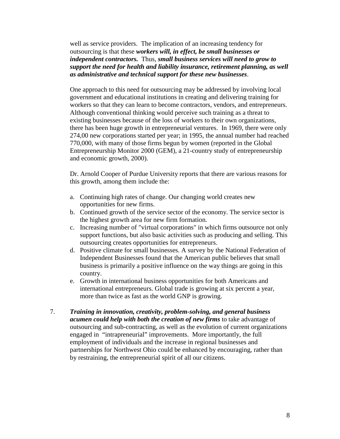well as service providers. The implication of an increasing tendency for outsourcing is that these *workers will, in effect, be small businesses or independent contractors.* Thus, *small business services will need to grow to support the need for health and liability insurance, retirement planning, as well as administrative and technical support for these new businesses*.

One approach to this need for outsourcing may be addressed by involving local government and educational institutions in creating and delivering training for workers so that they can learn to become contractors, vendors, and entrepreneurs. Although conventional thinking would perceive such training as a threat to existing businesses because of the loss of workers to their own organizations, there has been huge growth in entrepreneurial ventures. In 1969, there were only 274,00 new corporations started per year; in 1995, the annual number had reached 770,000, with many of those firms begun by women (reported in the Global Entrepreneurship Monitor 2000 (GEM), a 21-country study of entrepreneurship and economic growth, 2000).

Dr. Arnold Cooper of Purdue University reports that there are various reasons for this growth, among them include the:

- a. Continuing high rates of change. Our changing world creates new opportunities for new firms.
- b. Continued growth of the service sector of the economy. The service sector is the highest growth area for new firm formation.
- c. Increasing number of "virtual corporations" in which firms outsource not only support functions, but also basic activities such as producing and selling. This outsourcing creates opportunities for entrepreneurs.
- d. Positive climate for small businesses. A survey by the National Federation of Independent Businesses found that the American public believes that small business is primarily a positive influence on the way things are going in this country.
- e. Growth in international business opportunities for both Americans and international entrepreneurs. Global trade is growing at six percent a year, more than twice as fast as the world GNP is growing.
- 7. *Training in innovation, creativity, problem-solving, and general business acumen could help with both the creation of new firms* to take advantage of outsourcing and sub-contracting, as well as the evolution of current organizations engaged in "intrapreneurial" improvements. More importantly, the full employment of individuals and the increase in regional businesses and partnerships for Northwest Ohio could be enhanced by encouraging, rather than by restraining, the entrepreneurial spirit of all our citizens.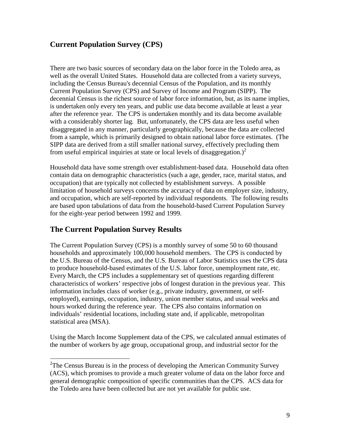## **Current Population Survey (CPS)**

There are two basic sources of secondary data on the labor force in the Toledo area, as well as the overall United States. Household data are collected from a variety surveys, including the Census Bureau's decennial Census of the Population, and its monthly Current Population Survey (CPS) and Survey of Income and Program (SIPP). The decennial Census is the richest source of labor force information, but, as its name implies, is undertaken only every ten years, and public use data become available at least a year after the reference year. The CPS is undertaken monthly and its data become available with a considerably shorter lag. But, unfortunately, the CPS data are less useful when disaggregated in any manner, particularly geographically, because the data are collected from a sample, which is primarily designed to obtain national labor force estimates. (The SIPP data are derived from a still smaller national survey, effectively precluding them from useful empirical inquiries at state or local levels of disaggregation.)<sup>2</sup>

Household data have some strength over establishment-based data. Household data often contain data on demographic characteristics (such a age, gender, race, marital status, and occupation) that are typically not collected by establishment surveys. A possible limitation of household surveys concerns the accuracy of data on employer size, industry, and occupation, which are self-reported by individual respondents. The following results are based upon tabulations of data from the household-based Current Population Survey for the eight-year period between 1992 and 1999.

## **The Current Population Survey Results**

The Current Population Survey (CPS) is a monthly survey of some 50 to 60 thousand households and approximately 100,000 household members. The CPS is conducted by the U.S. Bureau of the Census, and the U.S. Bureau of Labor Statistics uses the CPS data to produce household-based estimates of the U.S. labor force, unemployment rate, etc. Every March, the CPS includes a supplementary set of questions regarding different characteristics of workers' respective jobs of longest duration in the previous year. This information includes class of worker (e.g., private industry, government, or selfemployed), earnings, occupation, industry, union member status, and usual weeks and hours worked during the reference year. The CPS also contains information on individuals' residential locations, including state and, if applicable, metropolitan statistical area (MSA).

Using the March Income Supplement data of the CPS, we calculated annual estimates of the number of workers by age group, occupational group, and industrial sector for the

<sup>&</sup>lt;sup>2</sup>The Census Bureau is in the process of developing the American Community Survey (ACS), which promises to provide a much greater volume of data on the labor force and general demographic composition of specific communities than the CPS. ACS data for the Toledo area have been collected but are not yet available for public use.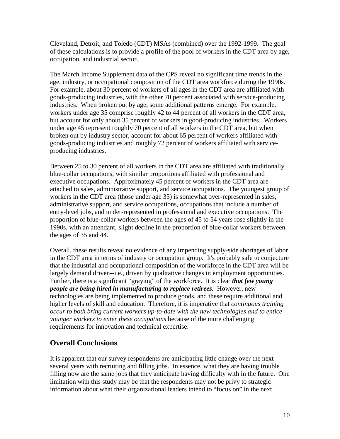Cleveland, Detroit, and Toledo (CDT) MSAs (combined) over the 1992-1999. The goal of these calculations is to provide a profile of the pool of workers in the CDT area by age, occupation, and industrial sector.

The March Income Supplement data of the CPS reveal no significant time trends in the age, industry, or occupational composition of the CDT area workforce during the 1990s. For example, about 30 percent of workers of all ages in the CDT area are affiliated with goods-producing industries, with the other 70 percent associated with service-producing industries. When broken out by age, some additional patterns emerge. For example, workers under age 35 comprise roughly 42 to 44 percent of all workers in the CDT area, but account for only about 35 percent of workers in good-producing industries. Workers under age 45 represent roughly 70 percent of all workers in the CDT area, but when broken out by industry sector, account for about 65 percent of workers affiliated with goods-producing industries and roughly 72 percent of workers affiliated with serviceproducing industries.

Between 25 to 30 percent of all workers in the CDT area are affiliated with traditionally blue-collar occupations, with similar proportions affiliated with professional and executive occupations. Approximately 45 percent of workers in the CDT area are attached to sales, administrative support, and service occupations. The youngest group of workers in the CDT area (those under age 35) is somewhat over-represented in sales, administrative support, and service occupations, occupations that include a number of entry-level jobs, and under-represented in professional and executive occupations. The proportion of blue-collar workers between the ages of 45 to 54 years rose slightly in the 1990s, with an attendant, slight decline in the proportion of blue-collar workers between the ages of 35 and 44.

Overall, these results reveal no evidence of any impending supply-side shortages of labor in the CDT area in terms of industry or occupation group. It's probably safe to conjecture that the industrial and occupational composition of the workforce in the CDT area will be largely demand driven--i.e., driven by qualitative changes in employment opportunities. Further, there is a significant "graying" of the workforce. It is clear *that few young people are being hired in manufacturing to replace retirees.* However, new technologies are being implemented to produce goods, and these require additional and higher levels of skill and education. Therefore, it is imperative that *continuous training occur to both bring current workers up-to-date with the new technologies and to entice younger workers to enter these occupations* because of the more challenging requirements for innovation and technical expertise.

## **Overall Conclusions**

It is apparent that our survey respondents are anticipating little change over the next several years with recruiting and filling jobs. In essence, what they are having trouble filling now are the same jobs that they anticipate having difficulty with in the future. One limitation with this study may be that the respondents may not be privy to strategic information about what their organizational leaders intend to "focus on" in the next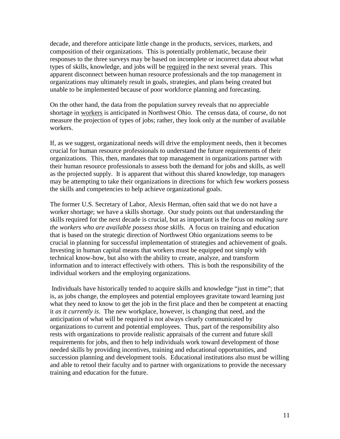decade, and therefore anticipate little change in the products, services, markets, and composition of their organizations. This is potentially problematic, because their responses to the three surveys may be based on incomplete or incorrect data about what types of skills, knowledge, and jobs will be required in the next several years. This apparent disconnect between human resource professionals and the top management in organizations may ultimately result in goals, strategies, and plans being created but unable to be implemented because of poor workforce planning and forecasting.

On the other hand, the data from the population survey reveals that no appreciable shortage in workers is anticipated in Northwest Ohio. The census data, of course, do not measure the projection of types of jobs; rather, they look only at the number of available workers.

If, as we suggest, organizational needs will drive the employment needs, then it becomes crucial for human resource professionals to understand the future requirements of their organizations. This, then, mandates that top management in organizations partner with their human resource professionals to assess both the demand for jobs and skills, as well as the projected supply. It is apparent that without this shared knowledge, top managers may be attempting to take their organizations in directions for which few workers possess the skills and competencies to help achieve organizational goals.

The former U.S. Secretary of Labor, Alexis Herman, often said that we do not have a worker shortage; we have a skills shortage. Our study points out that understanding the skills required for the next decade is crucial, but as important is the focus on *making sure the workers who are available possess those skills.* A focus on training and education that is based on the strategic direction of Northwest Ohio organizations seems to be crucial in planning for successful implementation of strategies and achievement of goals. Investing in human capital means that workers must be equipped not simply with technical know-how, but also with the ability to create, analyze, and transform information and to interact effectively with others. This is both the responsibility of the individual workers and the employing organizations.

Individuals have historically tended to acquire skills and knowledge "just in time"; that is, as jobs change, the employees and potential employees gravitate toward learning just what they need to know to get the job in the first place and then be competent at enacting it *as it currently is*. The new workplace, however, is changing that need, and the anticipation of what will be required is not always clearly communicated by organizations to current and potential employees. Thus, part of the responsibility also rests with organizations to provide realistic appraisals of the current and future skill requirements for jobs, and then to help individuals work toward development of those needed skills by providing incentives, training and educational opportunities, and succession planning and development tools. Educational institutions also must be willing and able to retool their faculty and to partner with organizations to provide the necessary training and education for the future.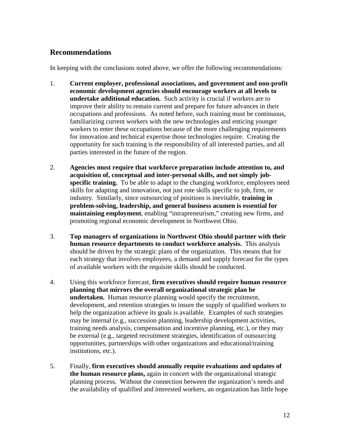## **Recommendations**

In keeping with the conclusions noted above, we offer the following recommendations:

- 1. **Current employer, professional associations, and government and non-profit economic development agencies should encourage workers at all levels to undertake additional education.** Such activity is crucial if workers are to improve their ability to remain current and prepare for future advances in their occupations and professions. As noted before, such training must be continuous, familiarizing current workers with the new technologies and enticing younger workers to enter these occupations because of the more challenging requirements for innovation and technical expertise those technologies require. Creating the opportunity for such training is the responsibility of all interested parties, and all parties interested in the future of the region.
- 2. **Agencies must require that workforce preparation include attention to, and acquisition of, conceptual and inter-personal skills, and not simply jobspecific training.** To be able to adapt to the changing workforce, employees need skills for adapting and innovation, not just rote skills specific to job, firm, or industry. Similarly, since outsourcing of positions is inevitable, **training in problem-solving, leadership, and general business acumen is essential for maintaining employment**, enabling "intrapreneurism," creating new firms, and promoting regional economic development in Northwest Ohio.
- 3. **Top managers of organizations in Northwest Ohio should partner with their human resource departments to conduct workforce analysis.** This analysis should be driven by the strategic plans of the organization. This means that for each strategy that involves employees, a demand and supply forecast for the types of available workers with the requisite skills should be conducted.
- 4. Using this workforce forecast, **firm executives should require human resource planning that mirrors the overall organizational strategic plan be undertaken.** Human resource planning would specify the recruitment, development, and retention strategies to insure the supply of qualified workers to help the organization achieve its goals is available. Examples of such strategies may be internal (e.g., succession planning, leadership development activities, training needs analysis, compensation and incentive planning, etc.), or they may be external (e.g., targeted recruitment strategies, identification of outsourcing opportunities, partnerships with other organizations and educational/training institutions, etc.).
- 5. Finally, **firm executives should annually requite evaluations and updates of the human resource plans,** again in concert with the organizational strategic planning process. Without the connection between the organization's needs and the availability of qualified and interested workers, an organization has little hope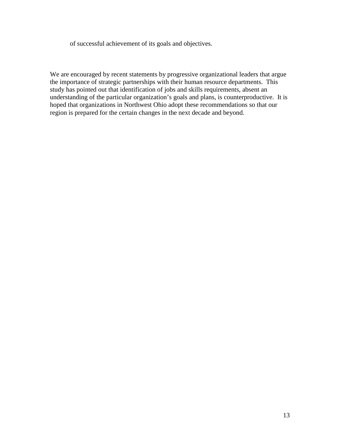of successful achievement of its goals and objectives.

We are encouraged by recent statements by progressive organizational leaders that argue the importance of strategic partnerships with their human resource departments. This study has pointed out that identification of jobs and skills requirements, absent an understanding of the particular organization's goals and plans, is counterproductive. It is hoped that organizations in Northwest Ohio adopt these recommendations so that our region is prepared for the certain changes in the next decade and beyond.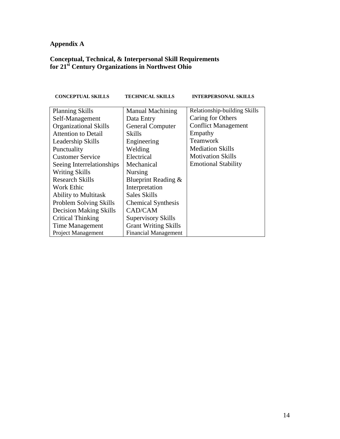## **Appendix A**

#### **Conceptual, Technical, & Interpersonal Skill Requirements for 21st Century Organizations in Northwest Ohio**

| <b>CONCEPTUAL SKILLS</b>      | <b>TECHNICAL SKILLS</b>     | <b>INTERPERSONAL SKILLS</b>  |
|-------------------------------|-----------------------------|------------------------------|
| <b>Planning Skills</b>        | <b>Manual Machining</b>     | Relationship-building Skills |
| Self-Management               | Data Entry                  | Caring for Others            |
| <b>Organizational Skills</b>  | <b>General Computer</b>     | <b>Conflict Management</b>   |
| <b>Attention to Detail</b>    | Skills                      | Empathy                      |
| Leadership Skills             | Engineering                 | Teamwork                     |
| Punctuality                   | Welding                     | <b>Mediation Skills</b>      |
| <b>Customer Service</b>       | Electrical                  | <b>Motivation Skills</b>     |
| Seeing Interrelationships     | Mechanical                  | <b>Emotional Stability</b>   |
| <b>Writing Skills</b>         | Nursing                     |                              |
| <b>Research Skills</b>        | Blueprint Reading &         |                              |
| Work Ethic                    | Interpretation              |                              |
| <b>Ability to Multitask</b>   | Sales Skills                |                              |
| Problem Solving Skills        | <b>Chemical Synthesis</b>   |                              |
| <b>Decision Making Skills</b> | CAD/CAM                     |                              |
| Critical Thinking             | <b>Supervisory Skills</b>   |                              |
| Time Management               | <b>Grant Writing Skills</b> |                              |
| <b>Project Management</b>     | <b>Financial Management</b> |                              |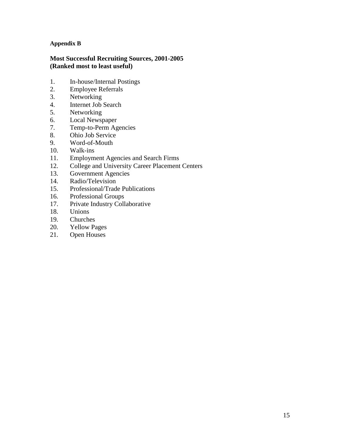#### **Appendix B**

#### **Most Successful Recruiting Sources, 2001-2005 (Ranked most to least useful)**

- 1. In-house/Internal Postings<br>2. Employee Referrals
- 2. Employee Referrals
- 3. Networking
- 4. Internet Job Search
- 5. Networking
- 6. Local Newspaper
- 7. Temp-to-Perm Agencies
- 8. Ohio Job Service
- 9. Word-of-Mouth
- 10. Walk-ins
- 11. Employment Agencies and Search Firms
- 12. College and University Career Placement Centers
- 13. Government Agencies
- 14. Radio/Television
- 15. Professional/Trade Publications
- 16. Professional Groups
- 17. Private Industry Collaborative
- 18. Unions
- 19. Churches
- 20. Yellow Pages
- 21. Open Houses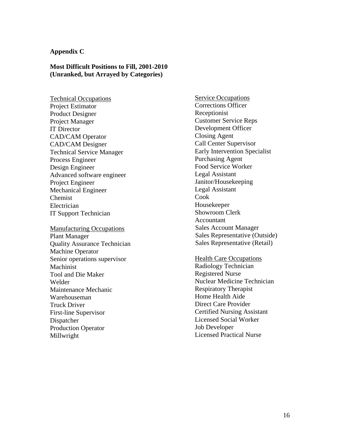#### **Appendix C**

#### **Most Difficult Positions to Fill, 2001-2010 (Unranked, but Arrayed by Categories)**

Technical Occupations Project Estimator Product Designer Project Manager IT Director CAD/CAM Operator CAD/CAM Designer Technical Service Manager Process Engineer Design Engineer Advanced software engineer Project Engineer Mechanical Engineer Chemist Electrician IT Support Technician

Manufacturing Occupations Plant Manager Quality Assurance Technician Machine Operator Senior operations supervisor **Machinist** Tool and Die Maker Welder Maintenance Mechanic Warehouseman Truck Driver First-line Supervisor Dispatcher Production Operator Millwright

Service Occupations Corrections Officer Receptionist Customer Service Reps Development Officer Closing Agent Call Center Supervisor Early Intervention Specialist Purchasing Agent Food Service Worker Legal Assistant Janitor/Housekeeping Legal Assistant Cook Housekeeper Showroom Clerk Accountant Sales Account Manager Sales Representative (Outside) Sales Representative (Retail)

Health Care Occupations

Radiology Technician Registered Nurse Nuclear Medicine Technician Respiratory Therapist Home Health Aide Direct Care Provider Certified Nursing Assistant Licensed Social Worker Job Developer Licensed Practical Nurse